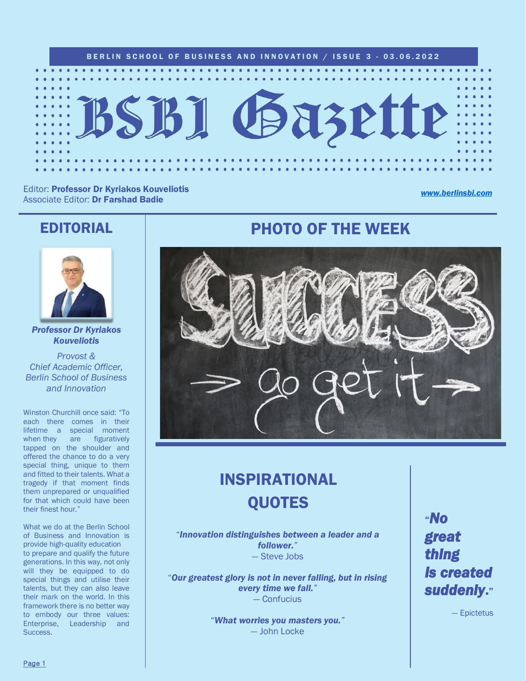

Editor: Professor Dr Kyriakos Kouveliotis Associate Editor: Dr Farshad Badie

#### *[www.berlinsbi.com](http://www.berlinsbi.com/)*

### EDITORIAL



*Professor Dr Kyriakos Kouveliotis*

*Provost & Chief Academic Officer, Berlin School of Business and Innovation*

Winston Churchill once said: "To each there comes in their lifetime a special moment when they are figuratively tapped on the shoulder and offered the chance to do a very special thing, unique to them and fitted to their talents. What a tragedy if that moment finds them unprepared or unqualified for that which could have been their finest hour."

What we do at the Berlin School of Business and Innovation is provide high-quality education to prepare and qualify the future generations. In this way, not only will they be equipped to do special things and utilise their talents, but they can also leave their mark on the world. In this framework there is no better way to embody our three values: Enterprise, Leadership and **Success** 

## PHOTO OF THE WEEK



## INSPIRATIONAL QUOTES

"*Innovation distinguishes between a leader and a follower."* — Steve Jobs

"*Our greatest glory is not in never falling, but in rising every time we fall."* — Confucius

> "*What worries you masters you."* — John Locke

"*No great thing is created suddenly*."

— Epictetus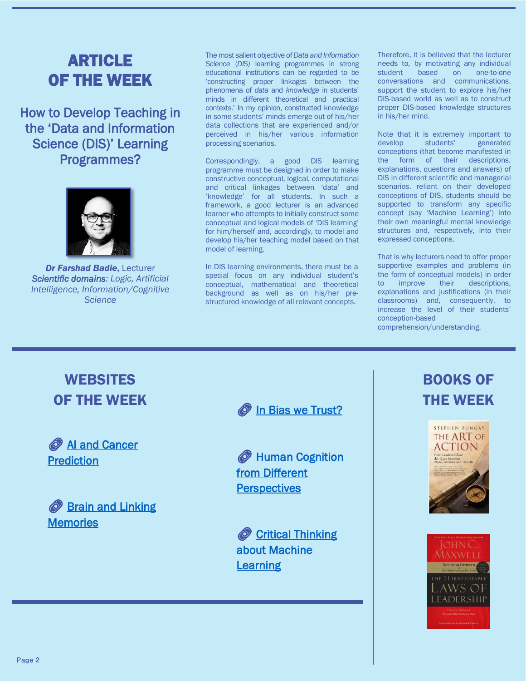## ARTICLE OF THE WEEK

How to Develop Teaching in the 'Data and Information Science (DIS)' Learning Programmes?



*Dr Farshad Badie*, Lecturer *Scientific domains: Logic, Artificial Intelligence, Information/Cognitive Science* 

The most salient objective of *Data and Information Science* (*DIS)* learning programmes in strong educational institutions can be regarded to be 'constructing proper linkages between the phenomena of *data* and *knowledge* in students' minds in different theoretical and practical contexts.' In my opinion, constructed knowledge in some students' minds emerge out of his/her data collections that are experienced and/or perceived in his/her various information processing scenarios.

Correspondingly, a good DIS learning programme must be designed in order to make constructive conceptual, logical, computational and critical linkages between 'data' and 'knowledge' for all students. In such a framework, a good lecturer is an advanced learner who attempts to initially construct some conceptual and logical models of 'DIS learning' for him/herself and, accordingly, to model and develop his/her teaching model based on that model of learning.

In DIS learning environments, there must be a special focus on any individual student's conceptual, mathematical and theoretical background as well as on his/her prestructured knowledge of all relevant concepts.

Therefore, it is believed that the lecturer needs to, by motivating any individual student based on one-to-one conversations and communications, support the student to explore his/her DIS-based world as well as to construct proper DIS-based knowledge structures in his/her mind.

Note that it is extremely important to develop students' generated conceptions (that become manifested in the form of their descriptions, explanations, questions and answers) of DIS in different scientific and managerial scenarios. reliant on their developed conceptions of DIS, students should be supported to transform any specific concept (say 'Machine Learning') into their own meaningful mental knowledge structures and, respectively, into their expressed conceptions.

That is why lecturers need to offer proper supportive examples and problems (in the form of conceptual models) in order to improve their descriptions, explanations and justifications (in their classrooms) and, consequently, to increase the level of their students' conception-based

comprehension/understanding.

### **WEBSITES** OF THE WEEK

**AI and Cancer [Prediction](https://www.sciencedaily.com/releases/2022/05/220525080512.htm)** 



**O** [In Bias we Trust?](https://news.mit.edu/2022/machine-learning-bias-0601)

**EXTERNATION** [from Different](https://news.mit.edu/2022/approaching-human-cognition-many-angles-0506)  **[Perspectives](https://news.mit.edu/2022/approaching-human-cognition-many-angles-0506)** 

Critical Thinking [about Machine](https://news.mit.edu/2022/ethical-machine-learning-course-0415)  [Learning](https://news.mit.edu/2022/ethical-machine-learning-course-0415)

## BOOKS OF THE WEEK



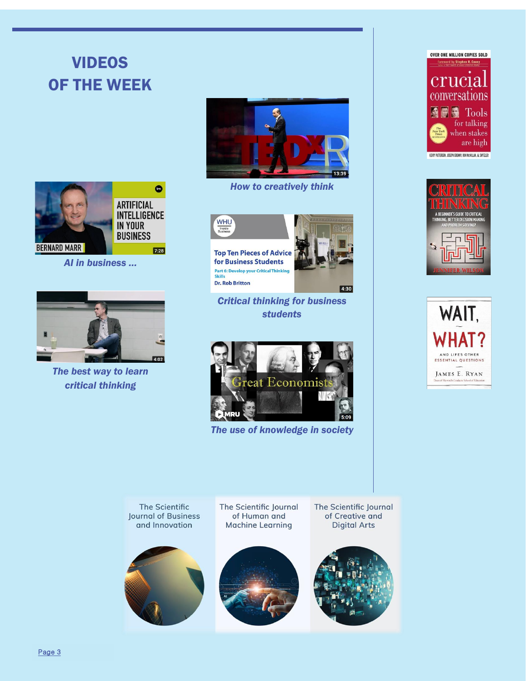# VIDEOS OF THE WEEK



*AI in business …*



*The best way to learn critical thinking*



*How to creatively think*



*Critical thinking for business students*



*The use of knowledge in society*







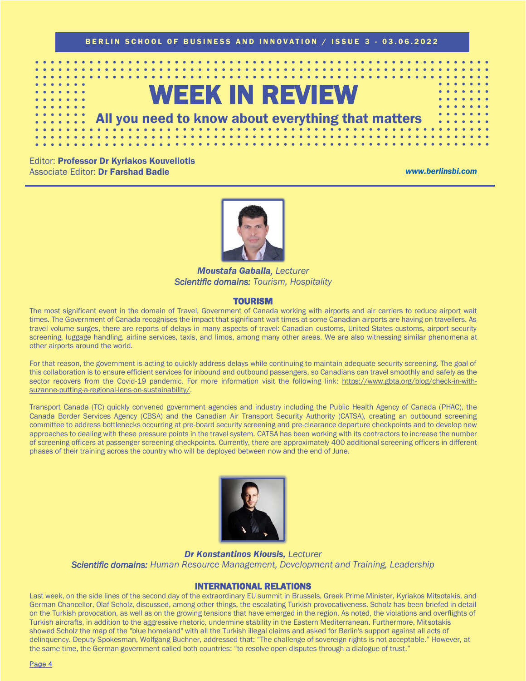

Editor: Professor Dr Kyriakos Kouveliotis Associate Editor: Dr Farshad Badie *[www.berlinsbi.com](http://www.berlinsbi.com/)*



*Moustafa Gaballa, Lecturer Scientific domains: Tourism, Hospitality* 

### TOURISM

The most significant event in the domain of Travel, Government of Canada working with airports and air carriers to reduce airport wait times. The Government of Canada recognises the impact that significant wait times at some Canadian airports are having on travellers. As travel volume surges, there are reports of delays in many aspects of travel: Canadian customs, United States customs, airport security screening, luggage handling, airline services, taxis, and limos, among many other areas. We are also witnessing similar phenomena at other airports around the world.

For that reason, the government is acting to quickly address delays while continuing to maintain adequate security screening. The goal of this collaboration is to ensure efficient services for inbound and outbound passengers, so Canadians can travel smoothly and safely as the sector recovers from the Covid-19 pandemic. For more information visit the following link: [https://www.gbta.org/blog/check-in-with](https://www.gbta.org/blog/check-in-with-suzanne-putting-a-regional-lens-on-sustainability/)[suzanne-putting-a-regional-lens-on-sustainability/.](https://www.gbta.org/blog/check-in-with-suzanne-putting-a-regional-lens-on-sustainability/)

Transport Canada (TC) quickly convened government agencies and industry including the Public Health Agency of Canada (PHAC), the Canada Border Services Agency (CBSA) and the Canadian Air Transport Security Authority (CATSA), creating an outbound screening committee to address bottlenecks occurring at pre-board security screening and pre-clearance departure checkpoints and to develop new approaches to dealing with these pressure points in the travel system. CATSA has been working with its contractors to increase the number of screening officers at passenger screening checkpoints. Currently, there are approximately 400 additional screening officers in different phases of their training across the country who will be deployed between now and the end of June.



*Dr Konstantinos Kiousis, Lecturer Scientific domains: Human Resource Management, Development and Training, Leadership* 

### INTERNATIONAL RELATIONS

Last week, on the side lines of the second day of the extraordinary EU summit in Brussels, Greek Prime Minister, Kyriakos Mitsotakis, and German Chancellor, Olaf Scholz, discussed, among other things, the escalating Turkish provocativeness. Scholz has been briefed in detail on the Turkish provocation, as well as on the growing tensions that have emerged in the region. As noted, the violations and overflights of Turkish aircrafts, in addition to the aggressive rhetoric, undermine stability in the Eastern Mediterranean. Furthermore, Mitsotakis showed Scholz the map of the "blue homeland" with all the Turkish illegal claims and asked for Berlin's support against all acts of delinquency. Deputy Spokesman, Wolfgang Buchner, addressed that: "The challenge of sovereign rights is not acceptable." However, at the same time, the German government called both countries: "to resolve open disputes through a dialogue of trust."